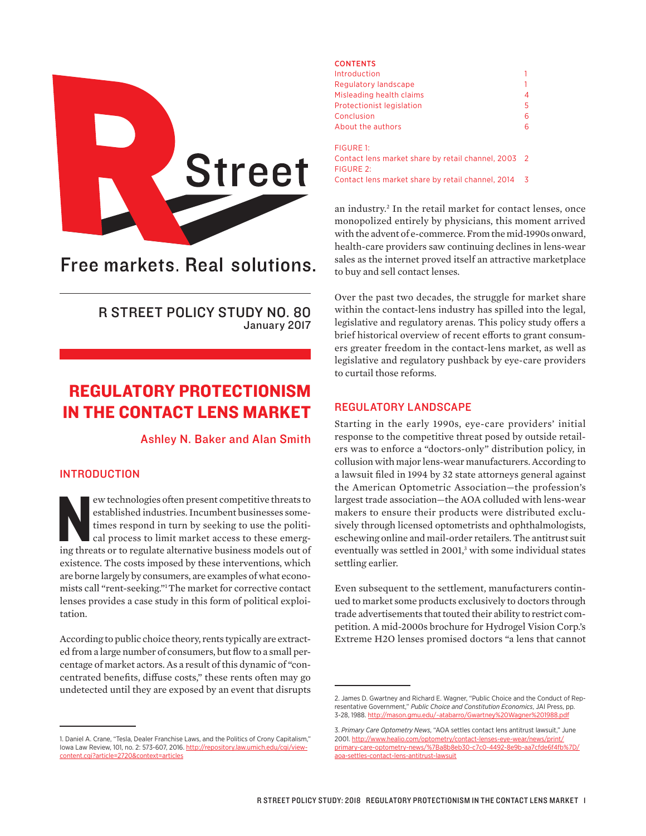

# Free markets. Real solutions.

R STREET POLICY STUDY NO. 80 January 2017

## REGULATORY PROTECTIONISM IN THE CONTACT LENS MARKET

## Ashley N. Baker and Alan Smith

## INTRODUCTION

ew technologies often present competitive threats to established industries. Incumbent businesses sometimes respond in turn by seeking to use the political process to limit market access to these emerging threats or to reg ew technologies often present competitive threats to established industries. Incumbent businesses sometimes respond in turn by seeking to use the political process to limit market access to these emergexistence. The costs imposed by these interventions, which are borne largely by consumers, are examples of what economists call "rent-seeking."1The market for corrective contact lenses provides a case study in this form of political exploitation.

According to public choice theory, rents typically are extracted from a large number of consumers, but flow to a small percentage of market actors. As a result of this dynamic of "concentrated benefits, diffuse costs," these rents often may go undetected until they are exposed by an event that disrupts

### **CONTENTS** Introduction 1 Regulatory landscape 1 Misleading health claims 4 Protectionist legislation 5 Conclusion 6 About the authors 6 FIGURE 1: Contact lens market share by retail channel, 2003 2 FIGURE 2: Contact lens market share by retail channel, 2014 3

an industry.2 In the retail market for contact lenses, once monopolized entirely by physicians, this moment arrived with the advent of e-commerce. From the mid-1990s onward, health-care providers saw continuing declines in lens-wear sales as the internet proved itself an attractive marketplace to buy and sell contact lenses.

Over the past two decades, the struggle for market share within the contact-lens industry has spilled into the legal, legislative and regulatory arenas. This policy study offers a brief historical overview of recent efforts to grant consumers greater freedom in the contact-lens market, as well as legislative and regulatory pushback by eye-care providers to curtail those reforms.

## REGULATORY LANDSCAPE

Starting in the early 1990s, eye-care providers' initial response to the competitive threat posed by outside retailers was to enforce a "doctors-only" distribution policy, in collusion with major lens-wear manufacturers. According to a lawsuit filed in 1994 by 32 state attorneys general against the American Optometric Association—the profession's largest trade association—the AOA colluded with lens-wear makers to ensure their products were distributed exclusively through licensed optometrists and ophthalmologists, eschewing online and mail-order retailers. The antitrust suit eventually was settled in 2001,<sup>3</sup> with some individual states settling earlier.

Even subsequent to the settlement, manufacturers continued to market some products exclusively to doctors through trade advertisements that touted their ability to restrict competition. A mid-2000s brochure for Hydrogel Vision Corp.'s Extreme H2O lenses promised doctors "a lens that cannot

<sup>1.</sup> Daniel A. Crane, "Tesla, Dealer Franchise Laws, and the Politics of Crony Capitalism," Iowa Law Review, 101, no. 2: 573-607, 2016. [http://repository.law.umich.edu/cgi/view](http://repository.law.umich.edu/cgi/viewcontent.cgi?article=2720&context=articles)[content.cgi?article=2720&context=articles](http://repository.law.umich.edu/cgi/viewcontent.cgi?article=2720&context=articles)

<sup>2.</sup> James D. Gwartney and Richard E. Wagner, "Public Choice and the Conduct of Representative Government," *Public Choice and Constitution Economics*, JAI Press, pp. 3-28, 1988. <http://mason.gmu.edu/~atabarro/Gwartney%20Wagner%201988.pdf>

<sup>3.</sup> *Primary Care Optometry News*, "AOA settles contact lens antitrust lawsuit," June 2001. [http://www.healio.com/optometry/contact-lenses-eye-wear/news/print/](http://www.healio.com/optometry/contact-lenses-eye-wear/news/print/primary-care-optometry-news/%7Ba8b8eb30-c7c0-4492-8e9b-aa7cfde6f4fb%7D/aoa-settles-contact-lens-antitrust-lawsuit) [primary-care-optometry-news/%7Ba8b8eb30-c7c0-4492-8e9b-aa7cfde6f4fb%7D/](http://www.healio.com/optometry/contact-lenses-eye-wear/news/print/primary-care-optometry-news/%7Ba8b8eb30-c7c0-4492-8e9b-aa7cfde6f4fb%7D/aoa-settles-contact-lens-antitrust-lawsuit) [aoa-settles-contact-lens-antitrust-lawsuit](http://www.healio.com/optometry/contact-lenses-eye-wear/news/print/primary-care-optometry-news/%7Ba8b8eb30-c7c0-4492-8e9b-aa7cfde6f4fb%7D/aoa-settles-contact-lens-antitrust-lawsuit)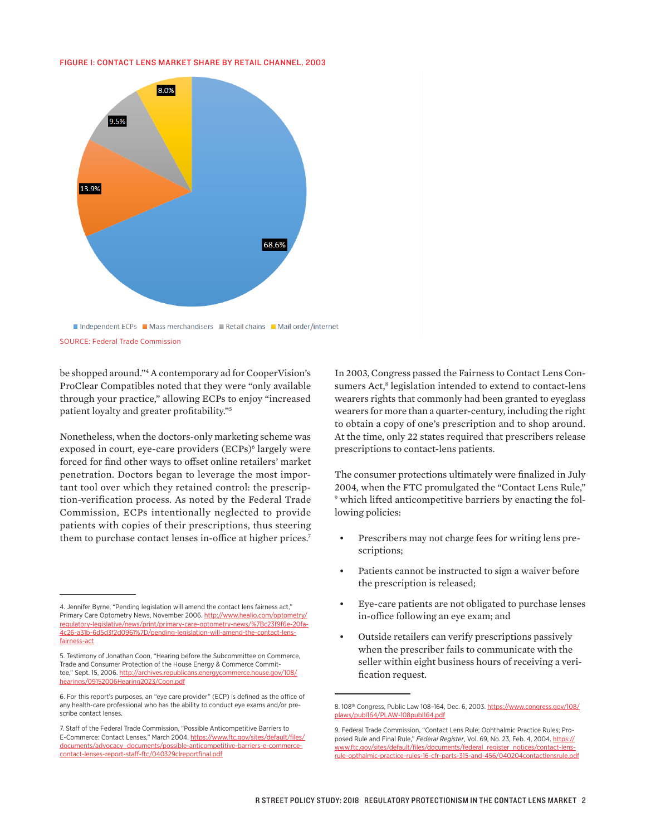#### FIGURE 1: CONTACT LENS MARKET SHARE BY RETAIL CHANNEL, 2003



SOURCE: Federal Trade Commission

be shopped around."4 A contemporary ad for CooperVision's ProClear Compatibles noted that they were "only available through your practice," allowing ECPs to enjoy "increased patient loyalty and greater profitability."5

Nonetheless, when the doctors-only marketing scheme was exposed in court, eye-care providers (ECPs)<sup>6</sup> largely were forced for find other ways to offset online retailers' market penetration. Doctors began to leverage the most important tool over which they retained control: the prescription-verification process. As noted by the Federal Trade Commission, ECPs intentionally neglected to provide patients with copies of their prescriptions, thus steering them to purchase contact lenses in-office at higher prices.<sup>7</sup>

In 2003, Congress passed the Fairness to Contact Lens Consumers Act,<sup>8</sup> legislation intended to extend to contact-lens wearers rights that commonly had been granted to eyeglass wearers for more than a quarter-century, including the right to obtain a copy of one's prescription and to shop around. At the time, only 22 states required that prescribers release prescriptions to contact-lens patients.

The consumer protections ultimately were finalized in July 2004, when the FTC promulgated the "Contact Lens Rule," 9 which lifted anticompetitive barriers by enacting the following policies:

- Prescribers may not charge fees for writing lens prescriptions;
- Patients cannot be instructed to sign a waiver before the prescription is released;
- Eye-care patients are not obligated to purchase lenses in-office following an eye exam; and
- Outside retailers can verify prescriptions passively when the prescriber fails to communicate with the seller within eight business hours of receiving a verification request.

<sup>4.</sup> Jennifer Byrne, "Pending legislation will amend the contact lens fairness act," Primary Care Optometry News, November 2006. [http://www.healio.com/optometry/](http://www.healio.com/optometry/regulatory-legislative/news/print/primary-care-optometry-news/%7Bc23f9f6e-20fa-4c26-a31b-6d5d3f2d0961%7D/pending-legislation-will-amend-the-contact-lens-fairness-act) [regulatory-legislative/news/print/primary-care-optometry-news/%7Bc23f9f6e-20fa-](http://www.healio.com/optometry/regulatory-legislative/news/print/primary-care-optometry-news/%7Bc23f9f6e-20fa-4c26-a31b-6d5d3f2d0961%7D/pending-legislation-will-amend-the-contact-lens-fairness-act)[4c26-a31b-6d5d3f2d0961%7D/pending-legislation-will-amend-the-contact-lens](http://www.healio.com/optometry/regulatory-legislative/news/print/primary-care-optometry-news/%7Bc23f9f6e-20fa-4c26-a31b-6d5d3f2d0961%7D/pending-legislation-will-amend-the-contact-lens-fairness-act)[fairness-act](http://www.healio.com/optometry/regulatory-legislative/news/print/primary-care-optometry-news/%7Bc23f9f6e-20fa-4c26-a31b-6d5d3f2d0961%7D/pending-legislation-will-amend-the-contact-lens-fairness-act)

<sup>5.</sup> Testimony of Jonathan Coon, "Hearing before the Subcommittee on Commerce, Trade and Consumer Protection of the House Energy & Commerce Committee," Sept. 15, 2006. [http://archives.republicans.energycommerce.house.gov/108/](http://archives.republicans.energycommerce.house.gov/108/hearings/09152006Hearing2023/Coon.pdf) [hearings/09152006Hearing2023/Coon.pdf](http://archives.republicans.energycommerce.house.gov/108/hearings/09152006Hearing2023/Coon.pdf)

<sup>6.</sup> For this report's purposes, an "eye care provider" (ECP) is defined as the office of any health-care professional who has the ability to conduct eye exams and/or prescribe contact lenses.

<sup>7.</sup> Staff of the Federal Trade Commission, "Possible Anticompetitive Barriers to E-Commerce: Contact Lenses," March 2004. [https://www.ftc.gov/sites/default/files/](https://www.ftc.gov/sites/default/files/documents/advocacy_documents/possible-anticompetitive-barriers-e-commerce-contact-lenses-report-staff-ftc/040329clreportfinal.pdf) [documents/advocacy\\_documents/possible-anticompetitive-barriers-e-commerce](https://www.ftc.gov/sites/default/files/documents/advocacy_documents/possible-anticompetitive-barriers-e-commerce-contact-lenses-report-staff-ftc/040329clreportfinal.pdf)[contact-lenses-report-staff-ftc/040329clreportfinal.pdf](https://www.ftc.gov/sites/default/files/documents/advocacy_documents/possible-anticompetitive-barriers-e-commerce-contact-lenses-report-staff-ftc/040329clreportfinal.pdf)

<sup>8. 108&</sup>lt;sup>th</sup> Congress, Public Law 108-164, Dec. 6, 2003. [https://www.congress.gov/108/](https://www.congress.gov/108/plaws/publ164/PLAW-108publ164.pdf) [plaws/publ164/PLAW-108publ164.pdf](https://www.congress.gov/108/plaws/publ164/PLAW-108publ164.pdf)

<sup>9.</sup> Federal Trade Commission, "Contact Lens Rule; Ophthalmic Practice Rules; Proposed Rule and Final Rule," *Federal Register*, Vol. 69, No. 23, Feb. 4, 2004. [https://](https://www.ftc.gov/sites/default/files/documents/federal_register_notices/contact-lens-rule-opthalmic-practice-rules-16-cfr-parts-315-and-456/040204contactlensrule.pdf) [www.ftc.gov/sites/default/files/documents/federal\\_register\\_notices/contact-lens](https://www.ftc.gov/sites/default/files/documents/federal_register_notices/contact-lens-rule-opthalmic-practice-rules-16-cfr-parts-315-and-456/040204contactlensrule.pdf)[rule-opthalmic-practice-rules-16-cfr-parts-315-and-456/040204contactlensrule.pdf](https://www.ftc.gov/sites/default/files/documents/federal_register_notices/contact-lens-rule-opthalmic-practice-rules-16-cfr-parts-315-and-456/040204contactlensrule.pdf)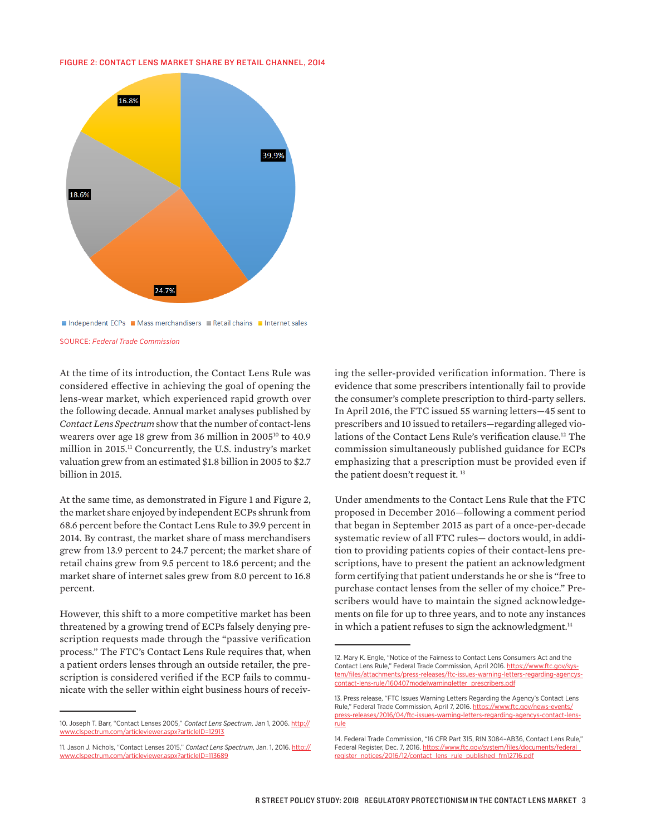#### FIGURE 2: CONTACT LENS MARKET SHARE BY RETAIL CHANNEL, 2014



Independent ECPs Mass merchandisers Retail chains Internet sales

SOURCE: *Federal Trade Commission*

At the time of its introduction, the Contact Lens Rule was considered effective in achieving the goal of opening the lens-wear market, which experienced rapid growth over the following decade. Annual market analyses published by *Contact Lens Spectrum* show that the number of contact-lens wearers over age 18 grew from 36 million in 200510 to 40.9 million in 2015.11 Concurrently, the U.S. industry's market valuation grew from an estimated \$1.8 billion in 2005 to \$2.7 billion in 2015.

At the same time, as demonstrated in Figure 1 and Figure 2, the market share enjoyed by independent ECPs shrunk from 68.6 percent before the Contact Lens Rule to 39.9 percent in 2014. By contrast, the market share of mass merchandisers grew from 13.9 percent to 24.7 percent; the market share of retail chains grew from 9.5 percent to 18.6 percent; and the market share of internet sales grew from 8.0 percent to 16.8 percent.

However, this shift to a more competitive market has been threatened by a growing trend of ECPs falsely denying prescription requests made through the "passive verification process." The FTC's Contact Lens Rule requires that, when a patient orders lenses through an outside retailer, the prescription is considered verified if the ECP fails to communicate with the seller within eight business hours of receiving the seller-provided verification information. There is evidence that some prescribers intentionally fail to provide the consumer's complete prescription to third-party sellers. In April 2016, the FTC issued 55 warning letters—45 sent to prescribers and 10 issued to retailers—regarding alleged violations of the Contact Lens Rule's verification clause.12 The commission simultaneously published guidance for ECPs emphasizing that a prescription must be provided even if the patient doesn't request it. 13

Under amendments to the Contact Lens Rule that the FTC proposed in December 2016—following a comment period that began in September 2015 as part of a once-per-decade systematic review of all FTC rules— doctors would, in addition to providing patients copies of their contact-lens prescriptions, have to present the patient an acknowledgment form certifying that patient understands he or she is "free to purchase contact lenses from the seller of my choice." Prescribers would have to maintain the signed acknowledgements on file for up to three years, and to note any instances in which a patient refuses to sign the acknowledgment.<sup>14</sup>

<sup>10.</sup> Joseph T. Barr, "Contact Lenses 2005," *Contact Lens Spectrum*, Jan 1, 2006. [http://](http://www.clspectrum.com/articleviewer.aspx?articleID=12913) [www.clspectrum.com/articleviewer.aspx?articleID=12913](http://www.clspectrum.com/articleviewer.aspx?articleID=12913)

<sup>11.</sup> Jason J. Nichols, "Contact Lenses 2015," *Contact Lens Spectrum*, Jan. 1, 2016. [http://](http://www.clspectrum.com/articleviewer.aspx?articleID=113689) [www.clspectrum.com/articleviewer.aspx?articleID=113689](http://www.clspectrum.com/articleviewer.aspx?articleID=113689)

<sup>12.</sup> Mary K. Engle, "Notice of the Fairness to Contact Lens Consumers Act and the Contact Lens Rule," Federal Trade Commission, April 2016. [https://www.ftc.gov/sys](https://www.ftc.gov/system/files/attachments/press-releases/ftc-issues-warning-letters-regarding-agencys-contact-lens-rule/160407modelwarningletter_prescribers.pdf)[tem/files/attachments/press-releases/ftc-issues-warning-letters-regarding-agencys](https://www.ftc.gov/system/files/attachments/press-releases/ftc-issues-warning-letters-regarding-agencys-contact-lens-rule/160407modelwarningletter_prescribers.pdf)[contact-lens-rule/160407modelwarningletter\\_prescribers.pdf](https://www.ftc.gov/system/files/attachments/press-releases/ftc-issues-warning-letters-regarding-agencys-contact-lens-rule/160407modelwarningletter_prescribers.pdf)

<sup>13.</sup> Press release, "FTC Issues Warning Letters Regarding the Agency's Contact Lens Rule," Federal Trade Commission, April 7, 2016. [https://www.ftc.gov/news-events/](https://www.ftc.gov/news-events/press-releases/2016/04/ftc-issues-warning-letters-regarding-agencys-contact-lens-rule) [press-releases/2016/04/ftc-issues-warning-letters-regarding-agencys-contact-lens](https://www.ftc.gov/news-events/press-releases/2016/04/ftc-issues-warning-letters-regarding-agencys-contact-lens-rule)[rule](https://www.ftc.gov/news-events/press-releases/2016/04/ftc-issues-warning-letters-regarding-agencys-contact-lens-rule)

<sup>14.</sup> Federal Trade Commission, "16 CFR Part 315, RIN 3084–AB36, Contact Lens Rule," Federal Register, Dec. 7, 2016. https://www.ftc.gov/system/files/documents/federal [register\\_notices/2016/12/contact\\_lens\\_rule\\_published\\_frn12716.pdf](https://www.ftc.gov/system/files/documents/federal_register_notices/2016/12/contact_lens_rule_published_frn12716.pdf)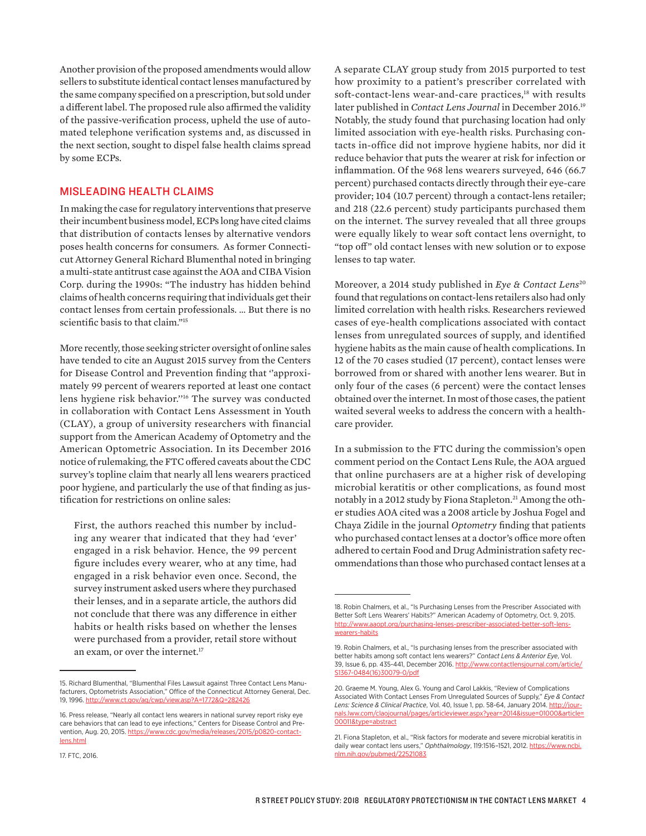Another provision of the proposed amendments would allow sellers to substitute identical contact lenses manufactured by the same company specified on a prescription, but sold under a different label. The proposed rule also affirmed the validity of the passive-verification process, upheld the use of automated telephone verification systems and, as discussed in the next section, sought to dispel false health claims spread by some ECPs.

## MISLEADING HEALTH CLAIMS

In making the case for regulatory interventions that preserve their incumbent business model, ECPs long have cited claims that distribution of contacts lenses by alternative vendors poses health concerns for consumers. As former Connecticut Attorney General Richard Blumenthal noted in bringing a multi-state antitrust case against the AOA and CIBA Vision Corp. during the 1990s: "The industry has hidden behind claims of health concerns requiring that individuals get their contact lenses from certain professionals. … But there is no scientific basis to that claim."<sup>15</sup>

More recently, those seeking stricter oversight of online sales have tended to cite an August 2015 survey from the Centers for Disease Control and Prevention finding that ''approximately 99 percent of wearers reported at least one contact lens hygiene risk behavior.''16 The survey was conducted in collaboration with Contact Lens Assessment in Youth (CLAY), a group of university researchers with financial support from the American Academy of Optometry and the American Optometric Association. In its December 2016 notice of rulemaking, the FTC offered caveats about the CDC survey's topline claim that nearly all lens wearers practiced poor hygiene, and particularly the use of that finding as justification for restrictions on online sales:

First, the authors reached this number by including any wearer that indicated that they had 'ever' engaged in a risk behavior. Hence, the 99 percent figure includes every wearer, who at any time, had engaged in a risk behavior even once. Second, the survey instrument asked users where they purchased their lenses, and in a separate article, the authors did not conclude that there was any difference in either habits or health risks based on whether the lenses were purchased from a provider, retail store without an exam, or over the internet.<sup>17</sup>

A separate CLAY group study from 2015 purported to test how proximity to a patient's prescriber correlated with soft-contact-lens wear-and-care practices,<sup>18</sup> with results later published in *Contact Lens Journal* in December 2016.19 Notably, the study found that purchasing location had only limited association with eye-health risks. Purchasing contacts in-office did not improve hygiene habits, nor did it reduce behavior that puts the wearer at risk for infection or inflammation. Of the 968 lens wearers surveyed, 646 (66.7 percent) purchased contacts directly through their eye-care provider; 104 (10.7 percent) through a contact-lens retailer; and 218 (22.6 percent) study participants purchased them on the internet. The survey revealed that all three groups were equally likely to wear soft contact lens overnight, to "top off" old contact lenses with new solution or to expose lenses to tap water.

Moreover, a 2014 study published in *Eye & Contact Lens*<sup>20</sup> found that regulations on contact-lens retailers also had only limited correlation with health risks. Researchers reviewed cases of eye-health complications associated with contact lenses from unregulated sources of supply, and identified hygiene habits as the main cause of health complications. In 12 of the 70 cases studied (17 percent), contact lenses were borrowed from or shared with another lens wearer. But in only four of the cases (6 percent) were the contact lenses obtained over the internet. In most of those cases, the patient waited several weeks to address the concern with a healthcare provider.

In a submission to the FTC during the commission's open comment period on the Contact Lens Rule, the AOA argued that online purchasers are at a higher risk of developing microbial keratitis or other complications, as found most notably in a 2012 study by Fiona Stapleton.<sup>21</sup> Among the other studies AOA cited was a 2008 article by Joshua Fogel and Chaya Zidile in the journal *Optometry* finding that patients who purchased contact lenses at a doctor's office more often adhered to certain Food and Drug Administration safety recommendations than those who purchased contact lenses at a

<sup>15.</sup> Richard Blumenthal, "Blumenthal Files Lawsuit against Three Contact Lens Manufacturers, Optometrists Association," Office of the Connecticut Attorney General, Dec. 19, 1996.<http://www.ct.gov/ag/cwp/view.asp?A=1772&Q=282426>

<sup>16.</sup> Press release, "Nearly all contact lens wearers in national survey report risky eye care behaviors that can lead to eye infections," Centers for Disease Control and Prevention, Aug. 20, 2015. [https://www.cdc.gov/media/releases/2015/p0820-contact](https://www.cdc.gov/media/releases/2015/p0820-contact-lens.html)[lens.html](https://www.cdc.gov/media/releases/2015/p0820-contact-lens.html)

<sup>17.</sup> FTC, 2016.

<sup>18.</sup> Robin Chalmers, et al., "Is Purchasing Lenses from the Prescriber Associated with Better Soft Lens Wearers' Habits?" American Academy of Optometry, Oct. 9, 2015. http://www.aaopt.org/purchasing-lenses-prescriber-assoc [wearers-habits](http://www.aaopt.org/purchasing-lenses-prescriber-associated-better-soft-lens-wearers-habits)

<sup>19.</sup> Robin Chalmers, et al., "Is purchasing lenses from the prescriber associated with better habits among soft contact lens wearers?" *Contact Lens & Anterior Eye*, Vol. 39, Issue 6, pp. 435-441, December 2016. [http://www.contactlensjournal.com/article/](http://www.contactlensjournal.com/article/S1367-0484(16)30079-0/pdf) [S1367-0484\(16\)30079-0/pdf](http://www.contactlensjournal.com/article/S1367-0484(16)30079-0/pdf)

<sup>20.</sup> Graeme M. Young, Alex G. Young and Carol Lakkis, "Review of Complications Associated With Contact Lenses From Unregulated Sources of Supply," *Eye & Contact Lens: Science & Clinical Practice*, Vol. 40, Issue 1, pp. 58-64, January 2014. [http://jour](http://journals.lww.com/claojournal/pages/articleviewer.aspx?year=2014&issue=01000&article=00011&type=abstract)[nals.lww.com/claojournal/pages/articleviewer.aspx?year=2014&issue=01000&article=](http://journals.lww.com/claojournal/pages/articleviewer.aspx?year=2014&issue=01000&article=00011&type=abstract) [00011&type=abstract](http://journals.lww.com/claojournal/pages/articleviewer.aspx?year=2014&issue=01000&article=00011&type=abstract)

<sup>21.</sup> Fiona Stapleton, et al., "Risk factors for moderate and severe microbial keratitis in daily wear contact lens users," Ophthalmology, 119:1516-1521, 2012. [https://www.ncbi.](https://www.ncbi.nlm.nih.gov/pubmed/22521083) [nlm.nih.gov/pubmed/22521083](https://www.ncbi.nlm.nih.gov/pubmed/22521083)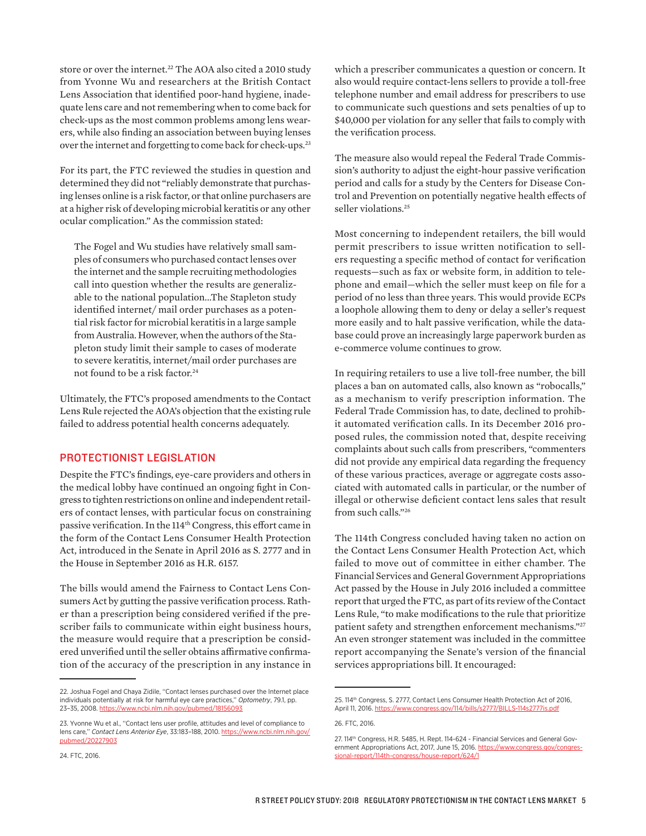store or over the internet.<sup>22</sup> The AOA also cited a 2010 study from Yvonne Wu and researchers at the British Contact Lens Association that identified poor-hand hygiene, inadequate lens care and not remembering when to come back for check-ups as the most common problems among lens wearers, while also finding an association between buying lenses over the internet and forgetting to come back for check-ups.<sup>23</sup>

For its part, the FTC reviewed the studies in question and determined they did not "reliably demonstrate that purchasing lenses online is a risk factor, or that online purchasers are at a higher risk of developing microbial keratitis or any other ocular complication." As the commission stated:

The Fogel and Wu studies have relatively small samples of consumers who purchased contact lenses over the internet and the sample recruiting methodologies call into question whether the results are generalizable to the national population...The Stapleton study identified internet/ mail order purchases as a potential risk factor for microbial keratitis in a large sample from Australia. However, when the authors of the Stapleton study limit their sample to cases of moderate to severe keratitis, internet/mail order purchases are not found to be a risk factor.<sup>24</sup>

Ultimately, the FTC's proposed amendments to the Contact Lens Rule rejected the AOA's objection that the existing rule failed to address potential health concerns adequately.

## PROTECTIONIST LEGISLATION

Despite the FTC's findings, eye-care providers and others in the medical lobby have continued an ongoing fight in Congress to tighten restrictions on online and independent retailers of contact lenses, with particular focus on constraining passive verification. In the 114<sup>th</sup> Congress, this effort came in the form of the Contact Lens Consumer Health Protection Act, introduced in the Senate in April 2016 as S. 2777 and in the House in September 2016 as H.R. 6157.

The bills would amend the Fairness to Contact Lens Consumers Act by gutting the passive verification process. Rather than a prescription being considered verified if the prescriber fails to communicate within eight business hours, the measure would require that a prescription be considered unverified until the seller obtains affirmative confirmation of the accuracy of the prescription in any instance in

which a prescriber communicates a question or concern. It also would require contact-lens sellers to provide a toll-free telephone number and email address for prescribers to use to communicate such questions and sets penalties of up to \$40,000 per violation for any seller that fails to comply with the verification process.

The measure also would repeal the Federal Trade Commission's authority to adjust the eight-hour passive verification period and calls for a study by the Centers for Disease Control and Prevention on potentially negative health effects of seller violations.<sup>25</sup>

Most concerning to independent retailers, the bill would permit prescribers to issue written notification to sellers requesting a specific method of contact for verification requests—such as fax or website form, in addition to telephone and email—which the seller must keep on file for a period of no less than three years. This would provide ECPs a loophole allowing them to deny or delay a seller's request more easily and to halt passive verification, while the database could prove an increasingly large paperwork burden as e-commerce volume continues to grow.

In requiring retailers to use a live toll-free number, the bill places a ban on automated calls, also known as "robocalls," as a mechanism to verify prescription information. The Federal Trade Commission has, to date, declined to prohibit automated verification calls. In its December 2016 proposed rules, the commission noted that, despite receiving complaints about such calls from prescribers, "commenters did not provide any empirical data regarding the frequency of these various practices, average or aggregate costs associated with automated calls in particular, or the number of illegal or otherwise deficient contact lens sales that result from such calls."26

The 114th Congress concluded having taken no action on the Contact Lens Consumer Health Protection Act, which failed to move out of committee in either chamber. The Financial Services and General Government Appropriations Act passed by the House in July 2016 included a committee report that urged the FTC, as part of its review of the Contact Lens Rule, "to make modifications to the rule that prioritize patient safety and strengthen enforcement mechanisms."27 An even stronger statement was included in the committee report accompanying the Senate's version of the financial services appropriations bill. It encouraged:

<sup>22.</sup> Joshua Fogel and Chaya Zidile, ''Contact lenses purchased over the Internet place individuals potentially at risk for harmful eye care practices,'' *Optometry*, 79.1, pp. 23–35, 2008.<https://www.ncbi.nlm.nih.gov/pubmed/18156093>

<sup>23.</sup> Yvonne Wu et al., ''Contact lens user profile, attitudes and level of compliance to lens care,'' *Contact Lens Anterior Eye*, 33:183–188, 2010. [https://www.ncbi.nlm.nih.gov/](https://www.ncbi.nlm.nih.gov/pubmed/20227903) [pubmed/20227903](https://www.ncbi.nlm.nih.gov/pubmed/20227903)

<sup>25. 114&</sup>lt;sup>th</sup> Congress, S. 2777, Contact Lens Consumer Health Protection Act of 2016, April 11, 2016.<https://www.congress.gov/114/bills/s2777/BILLS-114s2777is.pdf>

<sup>26.</sup> FTC, 2016.

<sup>27. 114&</sup>lt;sup>th</sup> Congress, H.R. 5485, H. Rept. 114-624 - Financial Services and General Government Appropriations Act, 2017, June 15, 2016. [https://www.congress.gov/congres](https://www.congress.gov/congressional-report/114th-congress/house-report/624/1)[sional-report/114th-congress/house-report/624/1](https://www.congress.gov/congressional-report/114th-congress/house-report/624/1)

<sup>24.</sup> FTC, 2016.